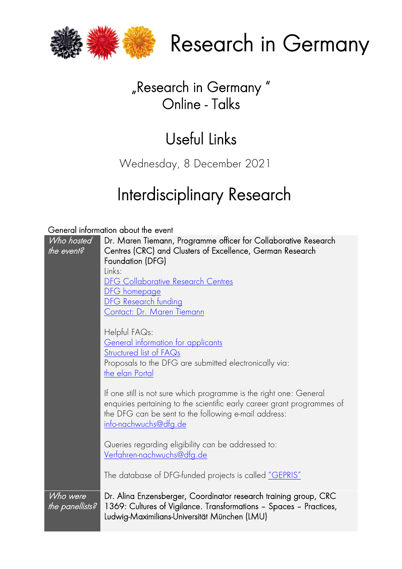

Research in Germany

## "Research in Germany " Online - Talks

# Useful Links

Wednesday, 8 December 2021

# Interdisciplinary Research

General information about the event

| Who hosted<br>the event?    | Dr. Maren Tiemann, Programme officer for Collaborative Research<br>Centres (CRC) and Clusters of Excellence, German Research<br>Foundation (DFG)<br>Links:<br><b>DFG Collaborative Research Centres</b><br>DFG homepage<br>DFG Research funding<br>Contact: Dr. Maren Tiemann |
|-----------------------------|-------------------------------------------------------------------------------------------------------------------------------------------------------------------------------------------------------------------------------------------------------------------------------|
|                             | Helpful FAQs:<br><u>General information for applicants</u><br><u>Structured list of FAQs</u><br>Proposals to the DFG are submitted electronically via:<br>the elan Portal                                                                                                     |
|                             | If one still is not sure which programme is the right one: General<br>enquiries pertaining to the scientific early career grant programmes of<br>the DFG can be sent to the following e-mail address:<br><u>info-nachwuchs@dfg.de</u>                                         |
|                             | Queries regarding eligibility can be addressed to:<br>Verfahren-nachwuchs@dfg.de                                                                                                                                                                                              |
|                             | The database of DFG-funded projects is called "GEPRIS"                                                                                                                                                                                                                        |
| Who were<br>the panellists? | Dr. Alina Enzensberger, Coordinator research training group, CRC<br>1369: Cultures of Vigilance. Transformations - Spaces - Practices,<br>Ludwig-Maximilians-Universität München (LMU)                                                                                        |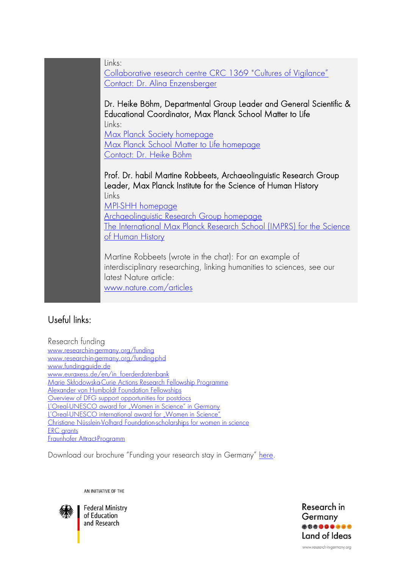Collaborative research centre [CRC 1369 "Cultures of Vigilance"](https://www.en.sfb1369.uni-muenchen.de/index.html) Contact: [Dr. Alina Enzensberger](https://www.sfb1369.uni-muenchen.de/kontakt/index.html) Dr. Heike Böhm, Departmental Group Leader and General Scientific & Educational Coordinator, Max Planck School Matter to Life Links: [Max Planck Society homepage](https://www.mpg.de/en) Max Planck School Matter to Life homepage [Contact: Dr. Heike Böhm](https://mattertolife.maxplanckschools.org/coordination-team/heike-boehm-cv) Prof. Dr. habil Martine Robbeets, Archaeolinguistic Research Group Leader, Max Planck Institute for the Science of Human History

Links [MPI-SHH homepage](https://www.shh.mpg.de/en) [Archaeolinguistic Research Group homepage](https://www.shh.mpg.de/102128/archaeolinguistic-research-group) [The International Max Planck Research School \(IMPRS\) for the Science](https://imprs.shh.mpg.de/)  [of Human History](https://imprs.shh.mpg.de/)

Martine Robbeets (wrote in the chat): For an example of interdisciplinary researching, linking humanities to sciences, see our latest Nature article: [www.nature.com/articles](https://www.nature.com/articles/s41586-021-04108-8)

### Useful links:

Research funding www.research-in-germany.org/funding www.research-in-germany.org/funding-phd www.funding-quide.de www.eurgxess.de/en/in foerderdatenbank Marie Skłodowska-Curie Actions Research Fellowship Programme Alexander von Humboldt Foundation Fellowships [Overview of DFG support opportunities for postdocs](https://www.dfg.de/en/research_funding/research_careers/completion_of_doctorates/index.html) L'Oreal-[UNESCO award for "Women in Science" in Germany](https://fwis-programm.de/) <u>L'Oreal-[UNESCO international award for "Women in Science"](https://www.forwomeninscience.com/en/awards)</u><br>Christiane Nüsslein-Volhard Foundation-scholarships for women in science **ERC** grants Fraunhofer Attract-Programm

Download our brochure "Funding your research stay in Germany" [here.](https://www.research-in-germany.org/dam/jcr:dabcafdf-b92f-44ed-abc0-832eb0697b15/DAAD_RIG_Funding_2021/22.pdf)

AN INITIATIVE OF THE

Links:



**Federal Ministry** of Education and Research

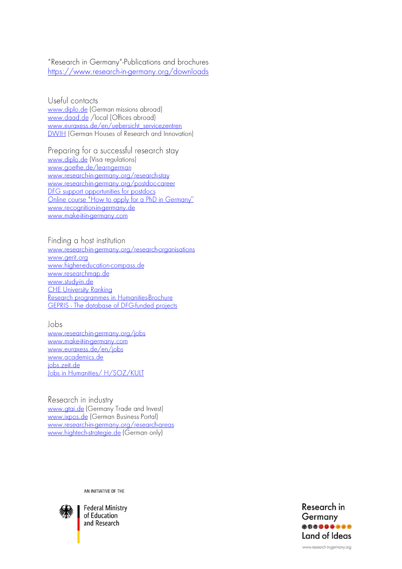#### "Research in Germany"-Publications and brochures https://www.research-in-germany.org/downloads

Useful contacts www.diplo.de (German missions abroad) www.daad.de /local (Offices abroad) www.euraxess.de/en/uebersicht\_servicezentren **DWIH** (German Houses of Research and Innovation)

Preparing for a successful research stay www.diplo.de (Visa regulations) www.goethe.de/learngerman www.research-in-germany.org/research-stay www.research-in-germany.org/postdoc-career DFG support opportunities for postdocs Online course "How to apply for a PhD in Germany" www.recognition-in-germany.de www.make-it-in-germany.com

Finding a host institution

www.research-in-germany.org/research-organisations www.aerit.ora www.higher-education-compass.de www.researchmap.de www.study-in.de **CHE University Ranking** Research programmes in Humanities-Brochure GEPRIS - The database of DFG-funded projects

### Jobs

www.research-in-germany.org/jobs www.make-it-in-germany.com www.eurgxess.de/en/jobs www.academics.de jobs.zeit.de Jobs in Humanities/ H/SOZ/KULT

Research in industry www.gtai.de (Germany Trade and Invest) www.ixpos.de (German Business Portal) www.research-in-germany.org/research-areas www.hightech-strategie.de (German only)

AN INITIATIVE OF THE



**Federal Ministry** of Education and Research